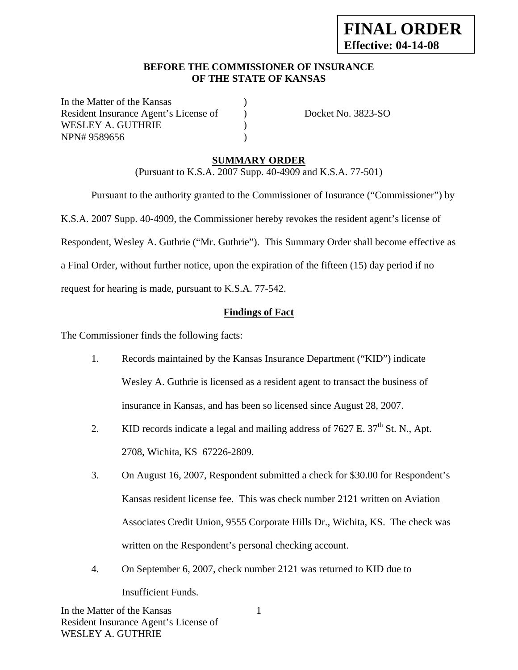#### **BEFORE THE COMMISSIONER OF INSURANCE OF THE STATE OF KANSAS**

In the Matter of the Kansas Resident Insurance Agent's License of (a) Docket No. 3823-SO WESLEY A. GUTHRIE  $)$ NPN# 9589656 )

## **SUMMARY ORDER**

(Pursuant to K.S.A. 2007 Supp. 40-4909 and K.S.A. 77-501)

 Pursuant to the authority granted to the Commissioner of Insurance ("Commissioner") by K.S.A. 2007 Supp. 40-4909, the Commissioner hereby revokes the resident agent's license of Respondent, Wesley A. Guthrie ("Mr. Guthrie"). This Summary Order shall become effective as a Final Order, without further notice, upon the expiration of the fifteen (15) day period if no request for hearing is made, pursuant to K.S.A. 77-542.

## **Findings of Fact**

The Commissioner finds the following facts:

- 1. Records maintained by the Kansas Insurance Department ("KID") indicate Wesley A. Guthrie is licensed as a resident agent to transact the business of insurance in Kansas, and has been so licensed since August 28, 2007.
- 2. KID records indicate a legal and mailing address of  $7627$  E.  $37<sup>th</sup>$  St. N., Apt. 2708, Wichita, KS 67226-2809.
- 3. On August 16, 2007, Respondent submitted a check for \$30.00 for Respondent's Kansas resident license fee. This was check number 2121 written on Aviation Associates Credit Union, 9555 Corporate Hills Dr., Wichita, KS. The check was written on the Respondent's personal checking account.
- 4. On September 6, 2007, check number 2121 was returned to KID due to Insufficient Funds.

1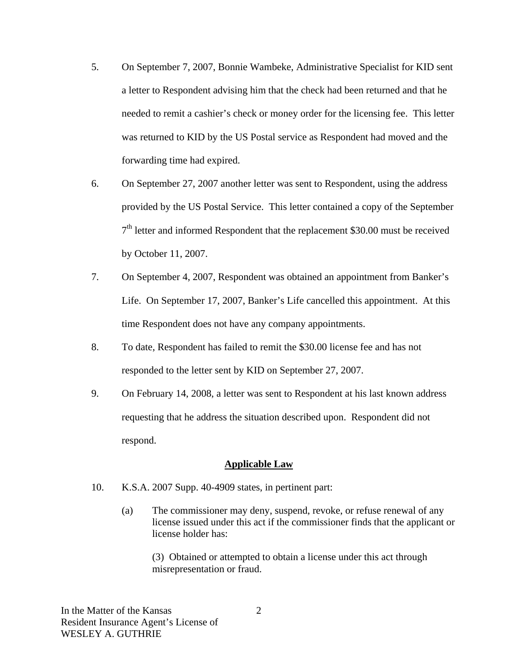- 5. On September 7, 2007, Bonnie Wambeke, Administrative Specialist for KID sent a letter to Respondent advising him that the check had been returned and that he needed to remit a cashier's check or money order for the licensing fee. This letter was returned to KID by the US Postal service as Respondent had moved and the forwarding time had expired.
- 6. On September 27, 2007 another letter was sent to Respondent, using the address provided by the US Postal Service. This letter contained a copy of the September  $7<sup>th</sup>$  letter and informed Respondent that the replacement \$30.00 must be received by October 11, 2007.
- 7. On September 4, 2007, Respondent was obtained an appointment from Banker's Life. On September 17, 2007, Banker's Life cancelled this appointment. At this time Respondent does not have any company appointments.
- 8. To date, Respondent has failed to remit the \$30.00 license fee and has not responded to the letter sent by KID on September 27, 2007.
- 9. On February 14, 2008, a letter was sent to Respondent at his last known address requesting that he address the situation described upon. Respondent did not respond.

#### **Applicable Law**

- 10. K.S.A. 2007 Supp. 40-4909 states, in pertinent part:
	- (a) The commissioner may deny, suspend, revoke, or refuse renewal of any license issued under this act if the commissioner finds that the applicant or license holder has:

 (3) Obtained or attempted to obtain a license under this act through misrepresentation or fraud.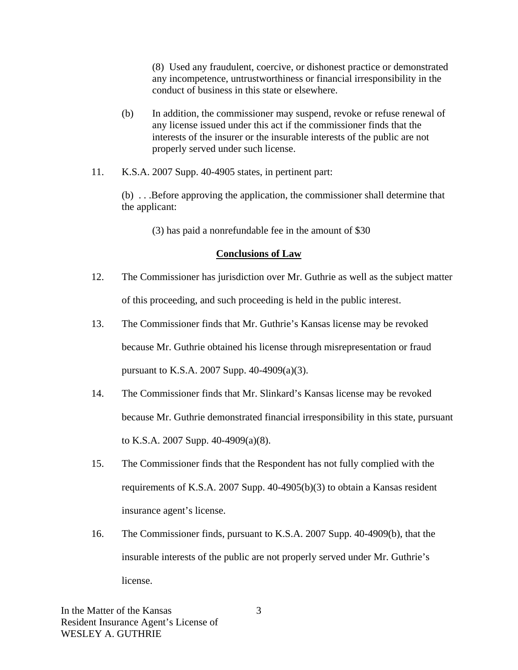(8) Used any fraudulent, coercive, or dishonest practice or demonstrated any incompetence, untrustworthiness or financial irresponsibility in the conduct of business in this state or elsewhere.

- (b) In addition, the commissioner may suspend, revoke or refuse renewal of any license issued under this act if the commissioner finds that the interests of the insurer or the insurable interests of the public are not properly served under such license.
- 11. K.S.A. 2007 Supp. 40-4905 states, in pertinent part:

 (b) . . .Before approving the application, the commissioner shall determine that the applicant:

(3) has paid a nonrefundable fee in the amount of \$30

#### **Conclusions of Law**

- 12. The Commissioner has jurisdiction over Mr. Guthrie as well as the subject matter of this proceeding, and such proceeding is held in the public interest.
- 13. The Commissioner finds that Mr. Guthrie's Kansas license may be revoked because Mr. Guthrie obtained his license through misrepresentation or fraud pursuant to K.S.A. 2007 Supp. 40-4909(a)(3).
- 14. The Commissioner finds that Mr. Slinkard's Kansas license may be revoked because Mr. Guthrie demonstrated financial irresponsibility in this state, pursuant to K.S.A. 2007 Supp. 40-4909(a)(8).
- 15. The Commissioner finds that the Respondent has not fully complied with the requirements of K.S.A. 2007 Supp. 40-4905(b)(3) to obtain a Kansas resident insurance agent's license.
- 16. The Commissioner finds, pursuant to K.S.A. 2007 Supp. 40-4909(b), that the insurable interests of the public are not properly served under Mr. Guthrie's license.

In the Matter of the Kansas Resident Insurance Agent's License of WESLEY A. GUTHRIE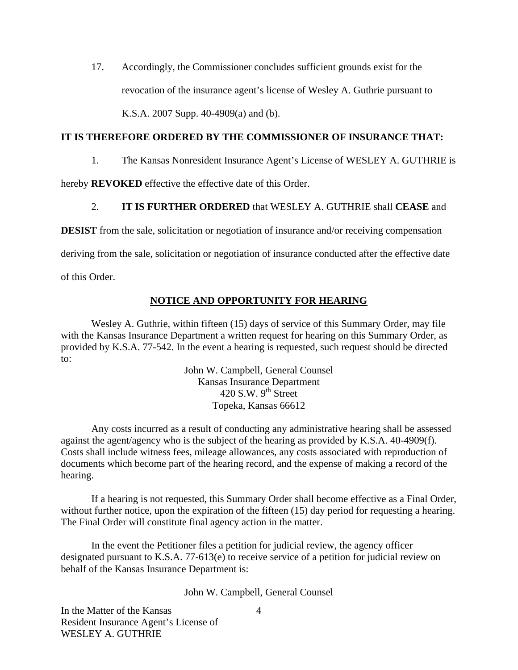17. Accordingly, the Commissioner concludes sufficient grounds exist for the revocation of the insurance agent's license of Wesley A. Guthrie pursuant to K.S.A. 2007 Supp. 40-4909(a) and (b).

#### **IT IS THEREFORE ORDERED BY THE COMMISSIONER OF INSURANCE THAT:**

1. The Kansas Nonresident Insurance Agent's License of WESLEY A. GUTHRIE is

hereby **REVOKED** effective the effective date of this Order.

## 2. **IT IS FURTHER ORDERED** that WESLEY A. GUTHRIE shall **CEASE** and

**DESIST** from the sale, solicitation or negotiation of insurance and/or receiving compensation

deriving from the sale, solicitation or negotiation of insurance conducted after the effective date

of this Order.

#### **NOTICE AND OPPORTUNITY FOR HEARING**

Wesley A. Guthrie, within fifteen (15) days of service of this Summary Order, may file with the Kansas Insurance Department a written request for hearing on this Summary Order, as provided by K.S.A. 77-542. In the event a hearing is requested, such request should be directed to:

> John W. Campbell, General Counsel Kansas Insurance Department 420 S.W.  $9^{th}$  Street Topeka, Kansas 66612

Any costs incurred as a result of conducting any administrative hearing shall be assessed against the agent/agency who is the subject of the hearing as provided by K.S.A. 40-4909(f). Costs shall include witness fees, mileage allowances, any costs associated with reproduction of documents which become part of the hearing record, and the expense of making a record of the hearing.

If a hearing is not requested, this Summary Order shall become effective as a Final Order, without further notice, upon the expiration of the fifteen (15) day period for requesting a hearing. The Final Order will constitute final agency action in the matter.

In the event the Petitioner files a petition for judicial review, the agency officer designated pursuant to K.S.A. 77-613(e) to receive service of a petition for judicial review on behalf of the Kansas Insurance Department is:

John W. Campbell, General Counsel

In the Matter of the Kansas Resident Insurance Agent's License of WESLEY A. GUTHRIE

4